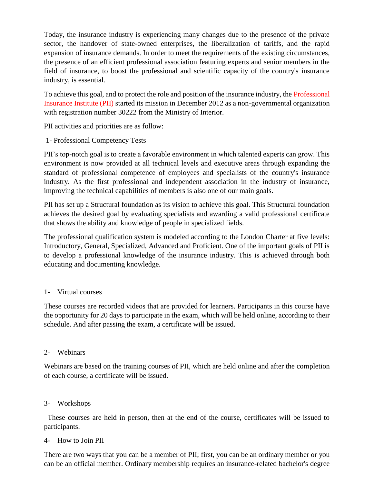Today, the insurance industry is experiencing many changes due to the presence of the private sector, the handover of state-owned enterprises, the liberalization of tariffs, and the rapid expansion of insurance demands. In order to meet the requirements of the existing circumstances, the presence of an efficient professional association featuring experts and senior members in the field of insurance, to boost the professional and scientific capacity of the country's insurance industry, is essential.

To achieve this goal, and to protect the role and position of the insurance industry, the Professional Insurance Institute (PII) started its mission in December 2012 as a non-governmental organization with registration number 30222 from the Ministry of Interior.

PII activities and priorities are as follow:

1- Professional Competency Tests

PII's top-notch goal is to create a favorable environment in which talented experts can grow. This environment is now provided at all technical levels and executive areas through expanding the standard of professional competence of employees and specialists of the country's insurance industry. As the first professional and independent association in the industry of insurance, improving the technical capabilities of members is also one of our main goals.

PII has set up a Structural foundation as its vision to achieve this goal. This Structural foundation achieves the desired goal by evaluating specialists and awarding a valid professional certificate that shows the ability and knowledge of people in specialized fields.

The professional qualification system is modeled according to the London Charter at five levels: Introductory, General, Specialized, Advanced and Proficient. One of the important goals of PII is to develop a professional knowledge of the insurance industry. This is achieved through both educating and documenting knowledge.

## 1- Virtual courses

These courses are recorded videos that are provided for learners. Participants in this course have the opportunity for 20 days to participate in the exam, which will be held online, according to their schedule. And after passing the exam, a certificate will be issued.

## 2- Webinars

Webinars are based on the training courses of PII, which are held online and after the completion of each course, a certificate will be issued.

## 3- Workshops

 These courses are held in person, then at the end of the course, certificates will be issued to participants.

## 4- How to Join PII

There are two ways that you can be a member of PII; first, you can be an ordinary member or you can be an official member. Ordinary membership requires an insurance-related bachelor's degree